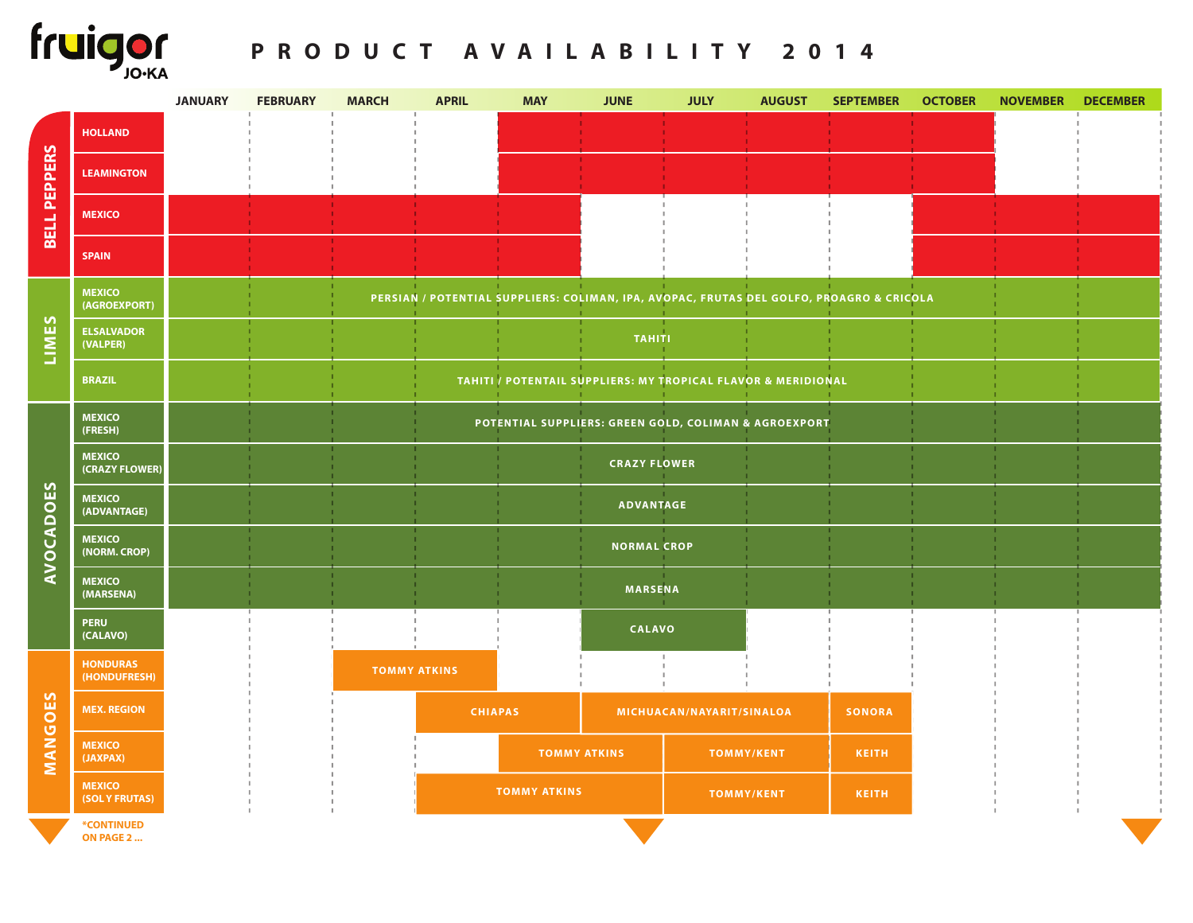

## **PRODUCT AVAILABILITY 2014**

|                               |                                 | <b>JANUARY</b> | <b>FEBRUARY</b> | <b>MARCH</b>        | <b>APRIL</b> | <b>MAY</b>                | <b>JUNE</b>                                                   | <b>JULY</b>       | <b>AUGUST</b> | <b>SEPTEMBER</b>                                                                         | <b>OCTOBER</b> | <b>NOVEMBER</b> | <b>DECEMBER</b> |
|-------------------------------|---------------------------------|----------------|-----------------|---------------------|--------------|---------------------------|---------------------------------------------------------------|-------------------|---------------|------------------------------------------------------------------------------------------|----------------|-----------------|-----------------|
| <b>PEPPERS</b><br><b>BELL</b> | <b>HOLLAND</b>                  |                |                 |                     |              |                           |                                                               |                   |               |                                                                                          |                |                 |                 |
|                               | <b>LEAMINGTON</b>               |                |                 |                     |              |                           |                                                               |                   |               |                                                                                          |                |                 |                 |
|                               | <b>MEXICO</b>                   |                |                 |                     |              |                           |                                                               |                   |               |                                                                                          |                |                 |                 |
|                               | <b>SPAIN</b>                    |                |                 |                     |              |                           |                                                               |                   |               |                                                                                          |                |                 |                 |
| LIMES                         | <b>MEXICO</b><br>(AGROEXPORT)   |                |                 |                     |              |                           |                                                               |                   |               | PERSIAN / POTENTIAL SUPPLIERS: COLIMAN, IPA, AVOPAC, FRUTAS DEL GOLFO, PROAGRO & CRICOLA |                |                 |                 |
|                               | <b>ELSALVADOR</b><br>(VALPER)   |                |                 |                     |              |                           | <b>TAHITI</b>                                                 |                   |               |                                                                                          |                |                 |                 |
|                               | <b>BRAZIL</b>                   |                |                 |                     |              |                           | TAHITI / POTENTAIL SUPPLIERS: MY TROPICAL FLAVOR & MERIDIONAL |                   |               |                                                                                          |                |                 |                 |
| <b>AVOCADOES</b>              | <b>MEXICO</b><br>(FRESH)        |                |                 |                     |              |                           | POTENTIAL SUPPLIERS: GREEN GOLD, COLIMAN & AGROEXPORT         |                   |               |                                                                                          |                |                 |                 |
|                               | <b>MEXICO</b><br>(CRAZY FLOWER) |                |                 |                     |              |                           | <b>CRAZY FLOWER</b>                                           |                   |               |                                                                                          |                |                 |                 |
|                               | <b>MEXICO</b><br>(ADVANTAGE)    |                |                 |                     |              |                           | <b>ADVANTAGE</b>                                              |                   |               |                                                                                          |                |                 |                 |
|                               | <b>MEXICO</b><br>(NORM. CROP)   |                |                 |                     |              |                           | <b>NORMAL CROP</b>                                            |                   |               |                                                                                          |                |                 |                 |
|                               | <b>MEXICO</b><br>(MARSENA)      |                |                 |                     |              |                           | <b>MARSENA</b>                                                |                   |               |                                                                                          |                |                 |                 |
|                               | <b>PERU</b><br>(CALAVO)         |                |                 |                     |              |                           | <b>CALAVO</b>                                                 |                   |               |                                                                                          |                |                 |                 |
| 53<br>MANGO                   | <b>HONDURAS</b><br>(HONDUFRESH) |                |                 | <b>TOMMY ATKINS</b> |              |                           |                                                               |                   |               |                                                                                          |                |                 |                 |
|                               | <b>MEX. REGION</b>              |                |                 | <b>CHIAPAS</b>      |              | MICHUACAN/NAYARIT/SINALOA |                                                               |                   | <b>SONORA</b> |                                                                                          |                |                 |                 |
|                               | <b>MEXICO</b><br>(JAXPAX)       |                |                 |                     |              | <b>TOMMY ATKINS</b>       |                                                               | <b>TOMMY/KENT</b> |               | <b>KEITH</b>                                                                             |                |                 |                 |
|                               | <b>MEXICO</b><br>(SOL Y FRUTAS) |                |                 |                     |              | <b>TOMMY ATKINS</b>       |                                                               | <b>TOMMY/KENT</b> |               | <b>KEITH</b>                                                                             |                |                 |                 |
|                               | *CONTINUED<br>ON PAGE 2         |                |                 |                     |              |                           |                                                               |                   |               |                                                                                          |                |                 |                 |